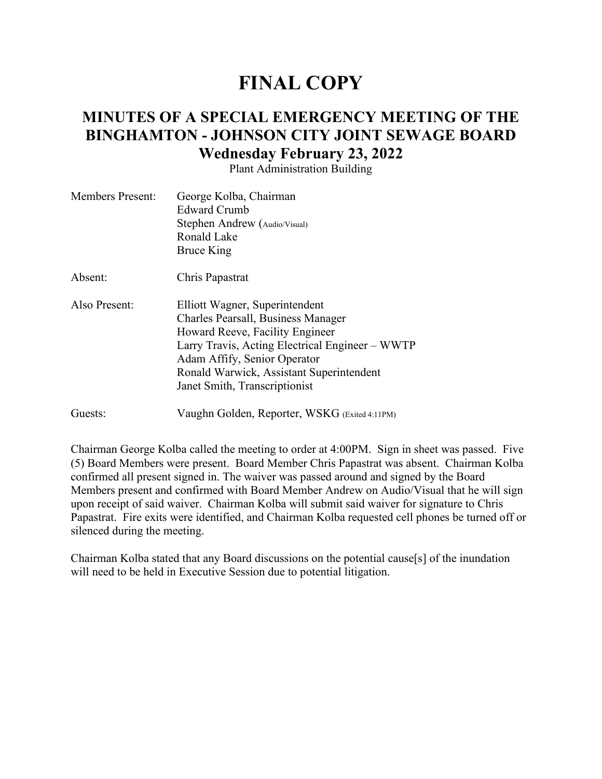# **FINAL COPY**

# **MINUTES OF A SPECIAL EMERGENCY MEETING OF THE BINGHAMTON - JOHNSON CITY JOINT SEWAGE BOARD Wednesday February 23, 2022**

Plant Administration Building

| <b>Members Present:</b> | George Kolba, Chairman<br>Edward Crumb<br>Stephen Andrew (Audio/Visual)<br>Ronald Lake                                                                                                                                                                                  |
|-------------------------|-------------------------------------------------------------------------------------------------------------------------------------------------------------------------------------------------------------------------------------------------------------------------|
| Absent:                 | Bruce King<br>Chris Papastrat                                                                                                                                                                                                                                           |
| Also Present:           | Elliott Wagner, Superintendent<br>Charles Pearsall, Business Manager<br>Howard Reeve, Facility Engineer<br>Larry Travis, Acting Electrical Engineer – WWTP<br>Adam Affify, Senior Operator<br>Ronald Warwick, Assistant Superintendent<br>Janet Smith, Transcriptionist |
| Guests:                 | Vaughn Golden, Reporter, WSKG (Exited 4:11PM)                                                                                                                                                                                                                           |

Chairman George Kolba called the meeting to order at 4:00PM. Sign in sheet was passed. Five (5) Board Members were present. Board Member Chris Papastrat was absent. Chairman Kolba confirmed all present signed in. The waiver was passed around and signed by the Board Members present and confirmed with Board Member Andrew on Audio/Visual that he will sign upon receipt of said waiver. Chairman Kolba will submit said waiver for signature to Chris Papastrat. Fire exits were identified, and Chairman Kolba requested cell phones be turned off or silenced during the meeting.

Chairman Kolba stated that any Board discussions on the potential cause[s] of the inundation will need to be held in Executive Session due to potential litigation.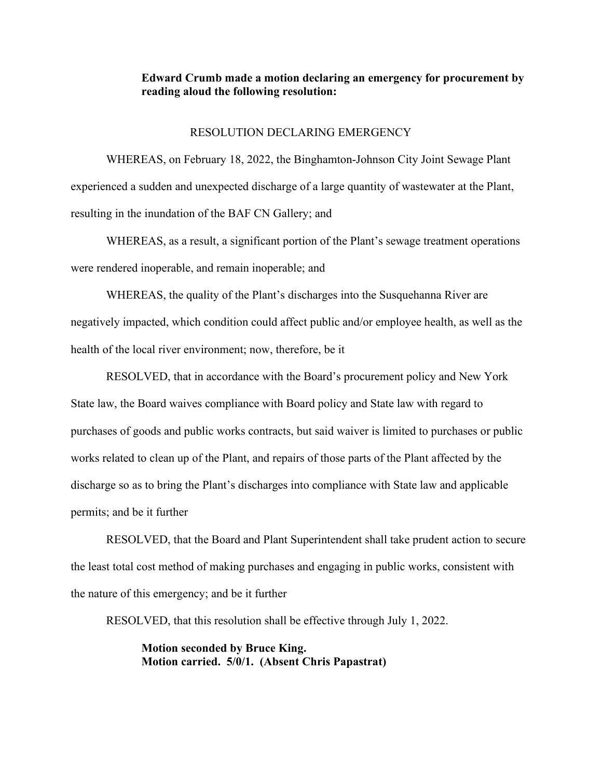#### **Edward Crumb made a motion declaring an emergency for procurement by reading aloud the following resolution:**

#### RESOLUTION DECLARING EMERGENCY

WHEREAS, on February 18, 2022, the Binghamton-Johnson City Joint Sewage Plant experienced a sudden and unexpected discharge of a large quantity of wastewater at the Plant, resulting in the inundation of the BAF CN Gallery; and

WHEREAS, as a result, a significant portion of the Plant's sewage treatment operations were rendered inoperable, and remain inoperable; and

WHEREAS, the quality of the Plant's discharges into the Susquehanna River are negatively impacted, which condition could affect public and/or employee health, as well as the health of the local river environment; now, therefore, be it

RESOLVED, that in accordance with the Board's procurement policy and New York State law, the Board waives compliance with Board policy and State law with regard to purchases of goods and public works contracts, but said waiver is limited to purchases or public works related to clean up of the Plant, and repairs of those parts of the Plant affected by the discharge so as to bring the Plant's discharges into compliance with State law and applicable permits; and be it further

RESOLVED, that the Board and Plant Superintendent shall take prudent action to secure the least total cost method of making purchases and engaging in public works, consistent with the nature of this emergency; and be it further

RESOLVED, that this resolution shall be effective through July 1, 2022.

**Motion seconded by Bruce King. Motion carried. 5/0/1. (Absent Chris Papastrat)**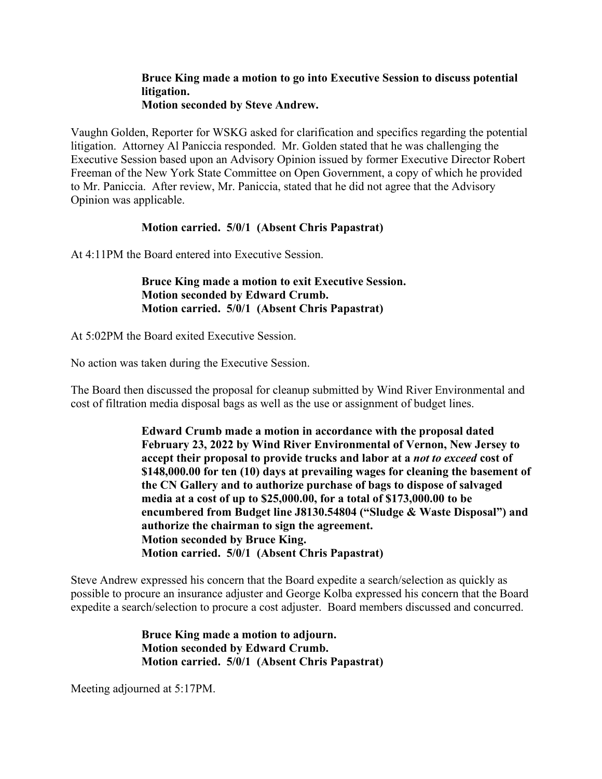## **Bruce King made a motion to go into Executive Session to discuss potential litigation.**

## **Motion seconded by Steve Andrew.**

Vaughn Golden, Reporter for WSKG asked for clarification and specifics regarding the potential litigation. Attorney Al Paniccia responded. Mr. Golden stated that he was challenging the Executive Session based upon an Advisory Opinion issued by former Executive Director Robert Freeman of the New York State Committee on Open Government, a copy of which he provided to Mr. Paniccia. After review, Mr. Paniccia, stated that he did not agree that the Advisory Opinion was applicable.

## **Motion carried. 5/0/1 (Absent Chris Papastrat)**

At 4:11PM the Board entered into Executive Session.

**Bruce King made a motion to exit Executive Session. Motion seconded by Edward Crumb. Motion carried. 5/0/1 (Absent Chris Papastrat)** 

At 5:02PM the Board exited Executive Session.

No action was taken during the Executive Session.

The Board then discussed the proposal for cleanup submitted by Wind River Environmental and cost of filtration media disposal bags as well as the use or assignment of budget lines.

> **Edward Crumb made a motion in accordance with the proposal dated February 23, 2022 by Wind River Environmental of Vernon, New Jersey to accept their proposal to provide trucks and labor at a** *not to exceed* **cost of \$148,000.00 for ten (10) days at prevailing wages for cleaning the basement of the CN Gallery and to authorize purchase of bags to dispose of salvaged media at a cost of up to \$25,000.00, for a total of \$173,000.00 to be encumbered from Budget line J8130.54804 ("Sludge & Waste Disposal") and authorize the chairman to sign the agreement. Motion seconded by Bruce King. Motion carried. 5/0/1 (Absent Chris Papastrat)**

Steve Andrew expressed his concern that the Board expedite a search/selection as quickly as possible to procure an insurance adjuster and George Kolba expressed his concern that the Board expedite a search/selection to procure a cost adjuster. Board members discussed and concurred.

> **Bruce King made a motion to adjourn. Motion seconded by Edward Crumb. Motion carried. 5/0/1 (Absent Chris Papastrat)**

Meeting adjourned at 5:17PM.